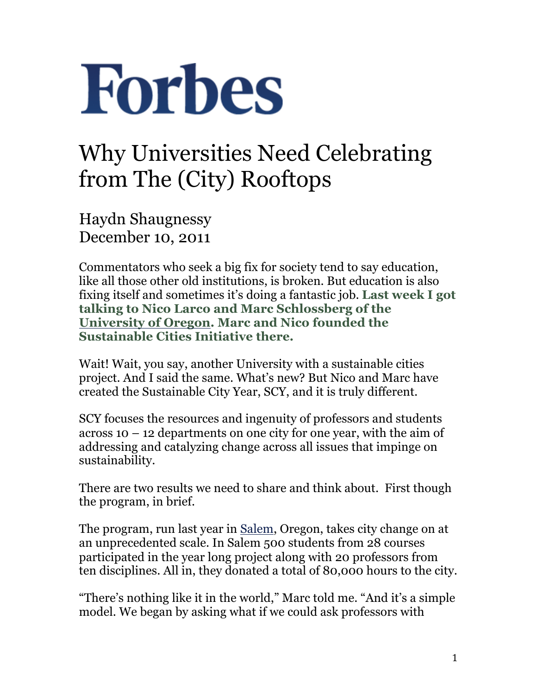## **Forbes**

## Why Universities Need Celebrating from The (City) Rooftops

Haydn Shaugnessy December 10, 2011

Commentators who seek a big fix for society tend to say education, like all those other old institutions, is broken. But education is also fixing itself and sometimes it's doing a fantastic job. **Last week I got talking to Nico Larco and Marc Schlossberg of the University of Oregon. Marc and Nico founded the Sustainable Cities Initiative there.**

Wait! Wait, you say, another University with a sustainable cities project. And I said the same. What's new? But Nico and Marc have created the Sustainable City Year, SCY, and it is truly different.

SCY focuses the resources and ingenuity of professors and students across  $10 - 12$  departments on one city for one year, with the aim of addressing and catalyzing change across all issues that impinge on sustainability.

There are two results we need to share and think about. First though the program, in brief.

The program, run last year in Salem, Oregon, takes city change on at an unprecedented scale. In Salem 500 students from 28 courses participated in the year long project along with 20 professors from ten disciplines. All in, they donated a total of 80,000 hours to the city.

"There's nothing like it in the world," Marc told me. "And it's a simple model. We began by asking what if we could ask professors with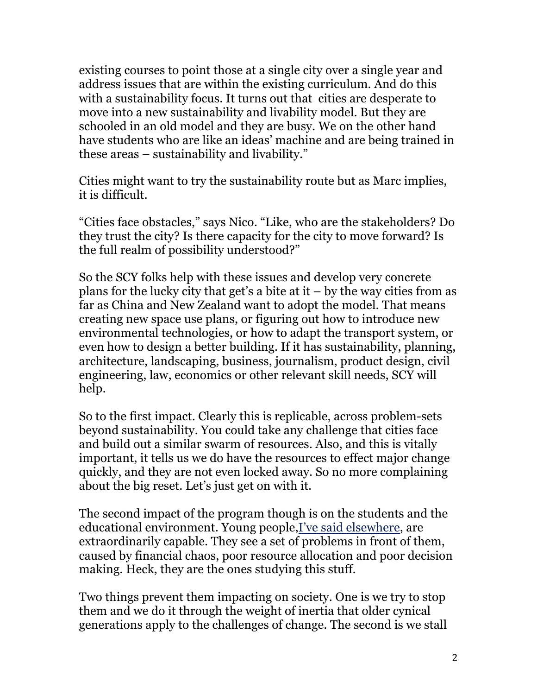existing courses to point those at a single city over a single year and address issues that are within the existing curriculum. And do this with a sustainability focus. It turns out that cities are desperate to move into a new sustainability and livability model. But they are schooled in an old model and they are busy. We on the other hand have students who are like an ideas' machine and are being trained in these areas – sustainability and livability."

Cities might want to try the sustainability route but as Marc implies, it is difficult.

"Cities face obstacles," says Nico. "Like, who are the stakeholders? Do they trust the city? Is there capacity for the city to move forward? Is the full realm of possibility understood?"

So the SCY folks help with these issues and develop very concrete plans for the lucky city that get's a bite at it  $-$  by the way cities from as far as China and New Zealand want to adopt the model. That means creating new space use plans, or figuring out how to introduce new environmental technologies, or how to adapt the transport system, or even how to design a better building. If it has sustainability, planning, architecture, landscaping, business, journalism, product design, civil engineering, law, economics or other relevant skill needs, SCY will help.

So to the first impact. Clearly this is replicable, across problem-sets beyond sustainability. You could take any challenge that cities face and build out a similar swarm of resources. Also, and this is vitally important, it tells us we do have the resources to effect major change quickly, and they are not even locked away. So no more complaining about the big reset. Let's just get on with it.

The second impact of the program though is on the students and the educational environment. Young people,I've said elsewhere, are extraordinarily capable. They see a set of problems in front of them, caused by financial chaos, poor resource allocation and poor decision making. Heck, they are the ones studying this stuff.

Two things prevent them impacting on society. One is we try to stop them and we do it through the weight of inertia that older cynical generations apply to the challenges of change. The second is we stall